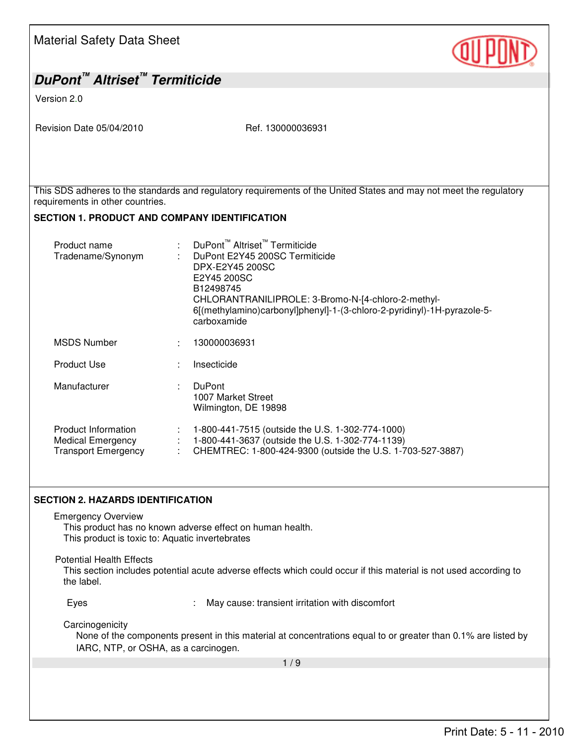| <b>Material Safety Data Sheet</b>                                                                                                                                        |                                                                                                                                                                                                                                                                                        |  |
|--------------------------------------------------------------------------------------------------------------------------------------------------------------------------|----------------------------------------------------------------------------------------------------------------------------------------------------------------------------------------------------------------------------------------------------------------------------------------|--|
| DuPont <sup>™</sup> Altriset <sup>™</sup> Termiticide                                                                                                                    |                                                                                                                                                                                                                                                                                        |  |
| Version 2.0                                                                                                                                                              |                                                                                                                                                                                                                                                                                        |  |
| Revision Date 05/04/2010                                                                                                                                                 | Ref. 130000036931                                                                                                                                                                                                                                                                      |  |
|                                                                                                                                                                          | This SDS adheres to the standards and regulatory requirements of the United States and may not meet the regulatory                                                                                                                                                                     |  |
| requirements in other countries.                                                                                                                                         |                                                                                                                                                                                                                                                                                        |  |
| <b>SECTION 1. PRODUCT AND COMPANY IDENTIFICATION</b>                                                                                                                     |                                                                                                                                                                                                                                                                                        |  |
| Product name<br>Tradename/Synonym                                                                                                                                        | DuPont <sup>™</sup> Altriset <sup>™</sup> Termiticide<br>DuPont E2Y45 200SC Termiticide<br>DPX-E2Y45 200SC<br>E2Y45 200SC<br>B12498745<br>CHLORANTRANILIPROLE: 3-Bromo-N-[4-chloro-2-methyl-<br>6[(methylamino)carbonyl]phenyl]-1-(3-chloro-2-pyridinyl)-1H-pyrazole-5-<br>carboxamide |  |
| <b>MSDS Number</b>                                                                                                                                                       | 130000036931                                                                                                                                                                                                                                                                           |  |
| <b>Product Use</b>                                                                                                                                                       | Insecticide                                                                                                                                                                                                                                                                            |  |
| Manufacturer                                                                                                                                                             | <b>DuPont</b><br>1007 Market Street<br>Wilmington, DE 19898                                                                                                                                                                                                                            |  |
| <b>Product Information</b><br><b>Medical Emergency</b><br><b>Transport Emergency</b>                                                                                     | 1-800-441-7515 (outside the U.S. 1-302-774-1000)<br>1-800-441-3637 (outside the U.S. 1-302-774-1139)<br>: CHEMTREC: 1-800-424-9300 (outside the U.S. 1-703-527-3887)                                                                                                                   |  |
| <b>SECTION 2. HAZARDS IDENTIFICATION</b>                                                                                                                                 |                                                                                                                                                                                                                                                                                        |  |
| <b>Emergency Overview</b><br>This product is toxic to: Aquatic invertebrates                                                                                             | This product has no known adverse effect on human health.                                                                                                                                                                                                                              |  |
| <b>Potential Health Effects</b><br>This section includes potential acute adverse effects which could occur if this material is not used according to<br>the label.       |                                                                                                                                                                                                                                                                                        |  |
| Eyes                                                                                                                                                                     | May cause: transient irritation with discomfort                                                                                                                                                                                                                                        |  |
| Carcinogenicity<br>None of the components present in this material at concentrations equal to or greater than 0.1% are listed by<br>IARC, NTP, or OSHA, as a carcinogen. |                                                                                                                                                                                                                                                                                        |  |
| 1/9                                                                                                                                                                      |                                                                                                                                                                                                                                                                                        |  |
|                                                                                                                                                                          |                                                                                                                                                                                                                                                                                        |  |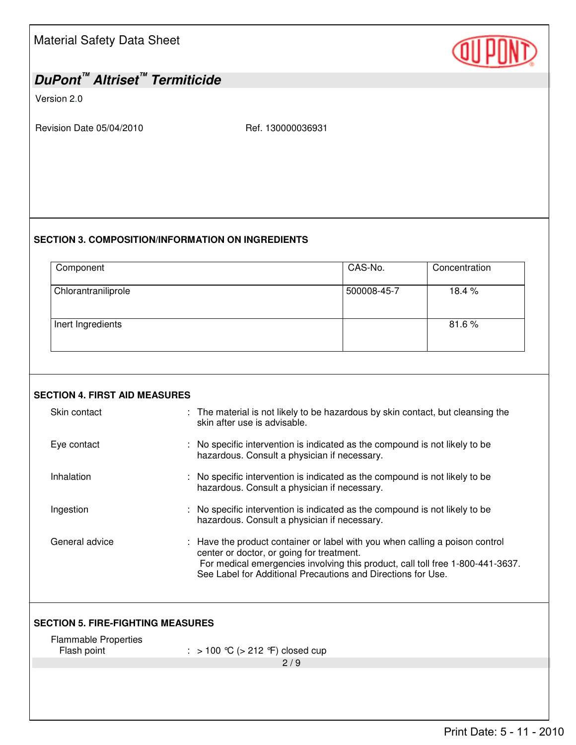| <b>Material Safety Data Sheet</b> |  |  |
|-----------------------------------|--|--|
|-----------------------------------|--|--|

## *DuPont™ Altriset™ Termiticide*

Version 2.0

Revision Date 05/04/2010 Ref. 130000036931

## **SECTION 3. COMPOSITION/INFORMATION ON INGREDIENTS**

| Component           | CAS-No.     | Concentration |
|---------------------|-------------|---------------|
| Chlorantraniliprole | 500008-45-7 | 18.4 %        |
| Inert Ingredients   |             | 81.6%         |

|  |  | <b>SECTION 4. FIRST AID MEASURES</b> |
|--|--|--------------------------------------|
|--|--|--------------------------------------|

| Skin contact                               | : The material is not likely to be hazardous by skin contact, but cleansing the<br>skin after use is advisable.                                                                                                                                                             |  |  |
|--------------------------------------------|-----------------------------------------------------------------------------------------------------------------------------------------------------------------------------------------------------------------------------------------------------------------------------|--|--|
| Eye contact                                | : No specific intervention is indicated as the compound is not likely to be<br>hazardous. Consult a physician if necessary.                                                                                                                                                 |  |  |
| Inhalation                                 | No specific intervention is indicated as the compound is not likely to be<br>hazardous. Consult a physician if necessary.                                                                                                                                                   |  |  |
| Ingestion                                  | No specific intervention is indicated as the compound is not likely to be<br>hazardous. Consult a physician if necessary.                                                                                                                                                   |  |  |
| General advice                             | : Have the product container or label with you when calling a poison control<br>center or doctor, or going for treatment.<br>For medical emergencies involving this product, call toll free 1-800-441-3637.<br>See Label for Additional Precautions and Directions for Use. |  |  |
| <b>SECTION 5. FIRE-FIGHTING MEASURES</b>   |                                                                                                                                                                                                                                                                             |  |  |
| <b>Flammable Properties</b><br>Flash point | : $> 100$ °C ( $> 212$ °F) closed cup                                                                                                                                                                                                                                       |  |  |
|                                            | 2/9                                                                                                                                                                                                                                                                         |  |  |
|                                            |                                                                                                                                                                                                                                                                             |  |  |

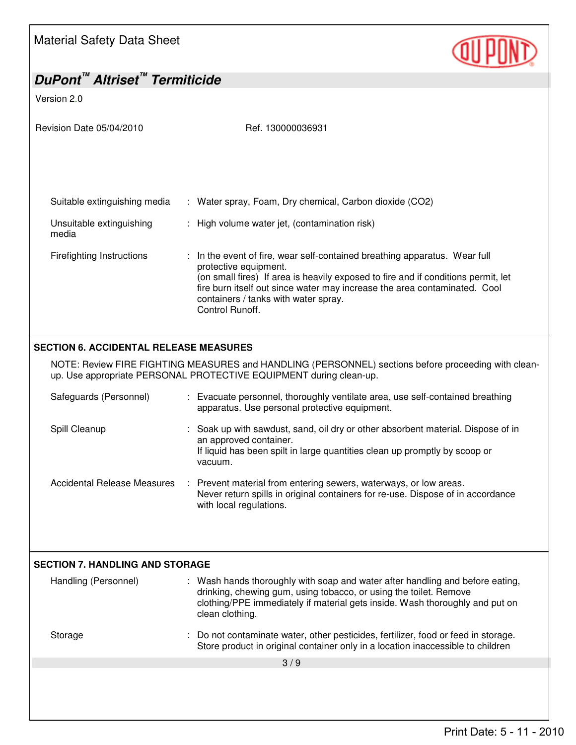

## *DuPont™ Altriset™ Termiticide*

Version 2.0

Revision Date 05/04/2010 Ref. 130000036931 Suitable extinguishing media : Water spray, Foam, Dry chemical, Carbon dioxide (CO2) Unsuitable extinguishing media : High volume water jet, (contamination risk) Firefighting Instructions : In the event of fire, wear self-contained breathing apparatus. Wear full protective equipment. (on small fires) If area is heavily exposed to fire and if conditions permit, let fire burn itself out since water may increase the area contaminated. Cool containers / tanks with water spray. Control Runoff.  $\overline{a}$ **SECTION 6. ACCIDENTAL RELEASE MEASURES**  NOTE: Review FIRE FIGHTING MEASURES and HANDLING (PERSONNEL) sections before proceeding with cleanup. Use appropriate PERSONAL PROTECTIVE EQUIPMENT during clean-up. Safeguards (Personnel) : Evacuate personnel, thoroughly ventilate area, use self-contained breathing apparatus. Use personal protective equipment.

- Spill Cleanup : Soak up with sawdust, sand, oil dry or other absorbent material. Dispose of in an approved container. If liquid has been spilt in large quantities clean up promptly by scoop or vacuum.
- Accidental Release Measures : Prevent material from entering sewers, waterways, or low areas. Never return spills in original containers for re-use. Dispose of in accordance with local regulations.

| <b>SECTION 7. HANDLING AND STORAGE</b> |                                                                                                                                                                                                                                                       |  |
|----------------------------------------|-------------------------------------------------------------------------------------------------------------------------------------------------------------------------------------------------------------------------------------------------------|--|
| Handling (Personnel)                   | : Wash hands thoroughly with soap and water after handling and before eating,<br>drinking, chewing gum, using tobacco, or using the toilet. Remove<br>clothing/PPE immediately if material gets inside. Wash thoroughly and put on<br>clean clothing. |  |
| Storage                                | : Do not contaminate water, other pesticides, fertilizer, food or feed in storage.<br>Store product in original container only in a location inaccessible to children                                                                                 |  |
|                                        | 3/9                                                                                                                                                                                                                                                   |  |
|                                        |                                                                                                                                                                                                                                                       |  |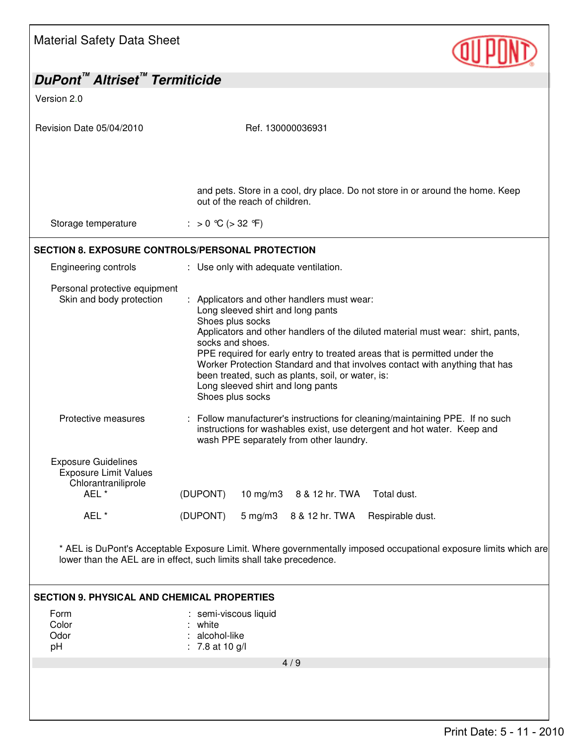

| DuPont <sup>™</sup> Altriset <sup>™</sup> Termiticide                                                                                                                                                                                                                                                                                                                                                                                                                                 |  |  |
|---------------------------------------------------------------------------------------------------------------------------------------------------------------------------------------------------------------------------------------------------------------------------------------------------------------------------------------------------------------------------------------------------------------------------------------------------------------------------------------|--|--|
|                                                                                                                                                                                                                                                                                                                                                                                                                                                                                       |  |  |
| Ref. 130000036931                                                                                                                                                                                                                                                                                                                                                                                                                                                                     |  |  |
| and pets. Store in a cool, dry place. Do not store in or around the home. Keep<br>out of the reach of children.                                                                                                                                                                                                                                                                                                                                                                       |  |  |
| : > 0 ℃ (> 32 °F)                                                                                                                                                                                                                                                                                                                                                                                                                                                                     |  |  |
| <b>SECTION 8. EXPOSURE CONTROLS/PERSONAL PROTECTION</b>                                                                                                                                                                                                                                                                                                                                                                                                                               |  |  |
| : Use only with adequate ventilation.                                                                                                                                                                                                                                                                                                                                                                                                                                                 |  |  |
| : Applicators and other handlers must wear:<br>Long sleeved shirt and long pants<br>Shoes plus socks<br>Applicators and other handlers of the diluted material must wear: shirt, pants,<br>socks and shoes.<br>PPE required for early entry to treated areas that is permitted under the<br>Worker Protection Standard and that involves contact with anything that has<br>been treated, such as plants, soil, or water, is:<br>Long sleeved shirt and long pants<br>Shoes plus socks |  |  |
| Follow manufacturer's instructions for cleaning/maintaining PPE. If no such<br>instructions for washables exist, use detergent and hot water. Keep and<br>wash PPE separately from other laundry.                                                                                                                                                                                                                                                                                     |  |  |
| (DUPONT)<br>10 mg/m3 8 & 12 hr. TWA<br>Total dust.<br>(DUPONT)<br>$5 \text{ mg/m}$ 3<br>8 & 12 hr. TWA<br>Respirable dust.                                                                                                                                                                                                                                                                                                                                                            |  |  |
| * AEL is DuPont's Acceptable Exposure Limit. Where governmentally imposed occupational exposure limits which are<br>lower than the AEL are in effect, such limits shall take precedence.                                                                                                                                                                                                                                                                                              |  |  |
| <b>SECTION 9. PHYSICAL AND CHEMICAL PROPERTIES</b><br>semi-viscous liquid<br>white<br>alcohol-like<br>: 7.8 at 10 $g/l$<br>4/9                                                                                                                                                                                                                                                                                                                                                        |  |  |
| Personal protective equipment                                                                                                                                                                                                                                                                                                                                                                                                                                                         |  |  |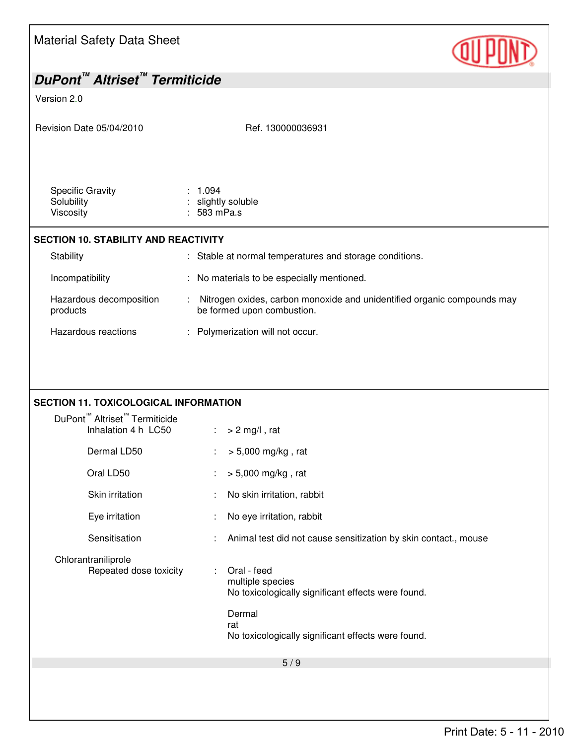Material Safety Data Sheet *DuPont™ Altriset™ Termiticide*  Version 2.0 Revision Date 05/04/2010 Ref. 130000036931 5 / 9 Specific Gravity : 1.094 Solubility **Solubility** : slightly soluble Viscosity : 583 mPa.s **SECTION 10. STABILITY AND REACTIVITY**  Stability **Stable at normal temperatures and storage conditions.** Incompatibility : No materials to be especially mentioned. Hazardous decomposition products : Nitrogen oxides, carbon monoxide and unidentified organic compounds may be formed upon combustion. Hazardous reactions : Polymerization will not occur. **SECTION 11. TOXICOLOGICAL INFORMATION**  DuPont™ Altriset™ Termiticide Inhalation 4 h  $LC50$  :  $> 2$  mg/l, rat Dermal LD50 : > 5,000 mg/kg, rat Oral LD50 : > 5,000 mg/kg, rat Skin irritation : No skin irritation, rabbit Eye irritation : No eye irritation, rabbit Sensitisation : Animal test did not cause sensitization by skin contact., mouse Chlorantraniliprole Repeated dose toxicity : Oral - feed multiple species No toxicologically significant effects were found. Dermal rat No toxicologically significant effects were found.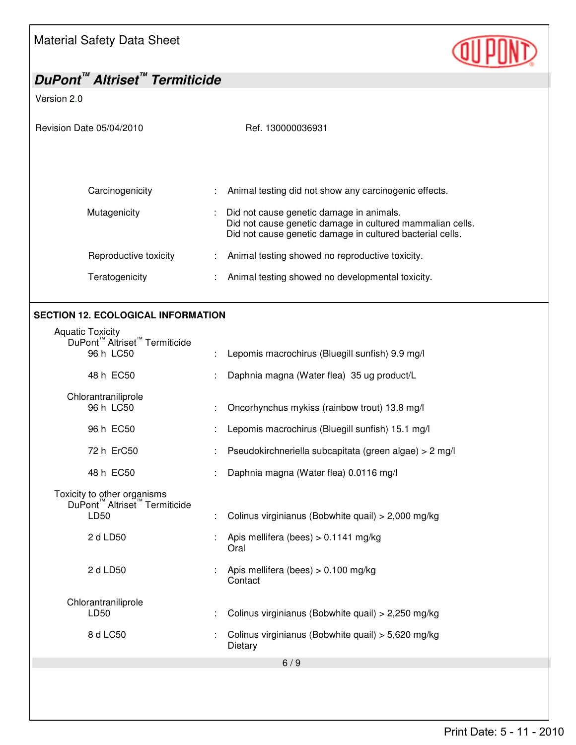

| DuPont <sup>™</sup> Altriset <sup>™</sup> Termiticide                |                                                                                                                        |
|----------------------------------------------------------------------|------------------------------------------------------------------------------------------------------------------------|
| Version 2.0                                                          |                                                                                                                        |
|                                                                      |                                                                                                                        |
| Revision Date 05/04/2010                                             | Ref. 130000036931                                                                                                      |
|                                                                      |                                                                                                                        |
|                                                                      |                                                                                                                        |
|                                                                      |                                                                                                                        |
| Carcinogenicity                                                      | Animal testing did not show any carcinogenic effects.                                                                  |
| Mutagenicity                                                         | Did not cause genetic damage in animals.                                                                               |
|                                                                      | Did not cause genetic damage in cultured mammalian cells.<br>Did not cause genetic damage in cultured bacterial cells. |
| Reproductive toxicity                                                |                                                                                                                        |
|                                                                      | Animal testing showed no reproductive toxicity.                                                                        |
| Teratogenicity                                                       | Animal testing showed no developmental toxicity.                                                                       |
|                                                                      |                                                                                                                        |
| <b>SECTION 12. ECOLOGICAL INFORMATION</b>                            |                                                                                                                        |
| <b>Aquatic Toxicity</b>                                              |                                                                                                                        |
| DuPont <sup>™</sup> Altriset <sup>™</sup> Termiticide<br>96 h LC50   | Lepomis macrochirus (Bluegill sunfish) 9.9 mg/l                                                                        |
|                                                                      |                                                                                                                        |
| 48 h EC50                                                            | Daphnia magna (Water flea) 35 ug product/L                                                                             |
| Chlorantraniliprole                                                  |                                                                                                                        |
| 96 h LC50                                                            | Oncorhynchus mykiss (rainbow trout) 13.8 mg/l                                                                          |
| 96 h EC50                                                            | Lepomis macrochirus (Bluegill sunfish) 15.1 mg/l                                                                       |
| 72 h ErC50                                                           | Pseudokirchneriella subcapitata (green algae) > 2 mg/l                                                                 |
| 48 h EC50                                                            | Daphnia magna (Water flea) 0.0116 mg/l                                                                                 |
|                                                                      |                                                                                                                        |
| Toxicity to other organisms<br>DuPont™ Altriset™ Termiticide<br>LD50 |                                                                                                                        |
|                                                                      | Colinus virginianus (Bobwhite quail) > 2,000 mg/kg                                                                     |
| 2 d LD50                                                             | Apis mellifera (bees) $> 0.1141$ mg/kg<br>Oral                                                                         |
|                                                                      |                                                                                                                        |
| 2 d LD50                                                             | Apis mellifera (bees) $> 0.100$ mg/kg<br>Contact                                                                       |
|                                                                      |                                                                                                                        |
| Chlorantraniliprole<br>LD50                                          | Colinus virginianus (Bobwhite quail) > 2,250 mg/kg                                                                     |
|                                                                      |                                                                                                                        |
| 8 d LC50                                                             | Colinus virginianus (Bobwhite quail) > 5,620 mg/kg<br>Dietary                                                          |
|                                                                      | 6/9                                                                                                                    |
|                                                                      |                                                                                                                        |
|                                                                      |                                                                                                                        |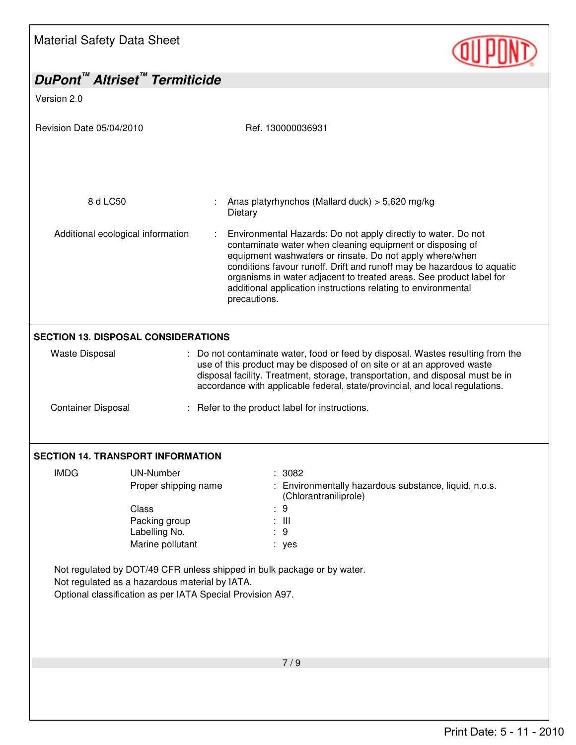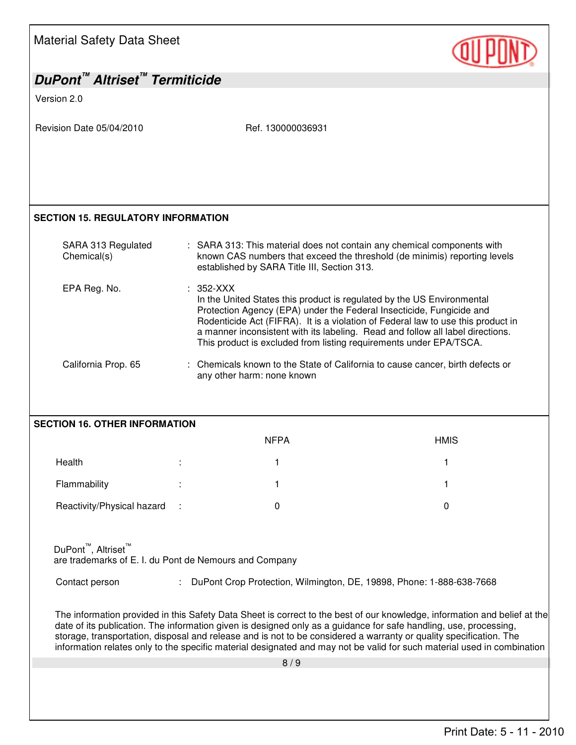| <b>Material Safety Data Sheet</b>                                                                                                                                                                                                                                                                                                                                                                                                                                                               |                                                                                                                                                                                                                                                                                                                                                                                                           |                                                                                |
|-------------------------------------------------------------------------------------------------------------------------------------------------------------------------------------------------------------------------------------------------------------------------------------------------------------------------------------------------------------------------------------------------------------------------------------------------------------------------------------------------|-----------------------------------------------------------------------------------------------------------------------------------------------------------------------------------------------------------------------------------------------------------------------------------------------------------------------------------------------------------------------------------------------------------|--------------------------------------------------------------------------------|
| DuPont <sup>™</sup> Altriset <sup>™</sup> Termiticide                                                                                                                                                                                                                                                                                                                                                                                                                                           |                                                                                                                                                                                                                                                                                                                                                                                                           |                                                                                |
| Version 2.0                                                                                                                                                                                                                                                                                                                                                                                                                                                                                     |                                                                                                                                                                                                                                                                                                                                                                                                           |                                                                                |
| Revision Date 05/04/2010                                                                                                                                                                                                                                                                                                                                                                                                                                                                        | Ref. 130000036931                                                                                                                                                                                                                                                                                                                                                                                         |                                                                                |
| <b>SECTION 15. REGULATORY INFORMATION</b>                                                                                                                                                                                                                                                                                                                                                                                                                                                       |                                                                                                                                                                                                                                                                                                                                                                                                           |                                                                                |
| SARA 313 Regulated<br>Chemical(s)                                                                                                                                                                                                                                                                                                                                                                                                                                                               | : SARA 313: This material does not contain any chemical components with<br>established by SARA Title III, Section 313.                                                                                                                                                                                                                                                                                    | known CAS numbers that exceed the threshold (de minimis) reporting levels      |
| EPA Reg. No.                                                                                                                                                                                                                                                                                                                                                                                                                                                                                    | $: 352-XXX$<br>In the United States this product is regulated by the US Environmental<br>Protection Agency (EPA) under the Federal Insecticide, Fungicide and<br>Rodenticide Act (FIFRA). It is a violation of Federal law to use this product in<br>a manner inconsistent with its labeling. Read and follow all label directions.<br>This product is excluded from listing requirements under EPA/TSCA. |                                                                                |
| California Prop. 65                                                                                                                                                                                                                                                                                                                                                                                                                                                                             | any other harm: none known                                                                                                                                                                                                                                                                                                                                                                                | : Chemicals known to the State of California to cause cancer, birth defects or |
| <b>SECTION 16. OTHER INFORMATION</b>                                                                                                                                                                                                                                                                                                                                                                                                                                                            |                                                                                                                                                                                                                                                                                                                                                                                                           |                                                                                |
|                                                                                                                                                                                                                                                                                                                                                                                                                                                                                                 | <b>NFPA</b>                                                                                                                                                                                                                                                                                                                                                                                               | <b>HMIS</b>                                                                    |
| Health                                                                                                                                                                                                                                                                                                                                                                                                                                                                                          |                                                                                                                                                                                                                                                                                                                                                                                                           |                                                                                |
| Flammability                                                                                                                                                                                                                                                                                                                                                                                                                                                                                    | 1                                                                                                                                                                                                                                                                                                                                                                                                         |                                                                                |
| Reactivity/Physical hazard                                                                                                                                                                                                                                                                                                                                                                                                                                                                      | 0                                                                                                                                                                                                                                                                                                                                                                                                         | 0                                                                              |
| DuPont <sup>™</sup> , Altriset <sup>™</sup><br>are trademarks of E. I. du Pont de Nemours and Company                                                                                                                                                                                                                                                                                                                                                                                           |                                                                                                                                                                                                                                                                                                                                                                                                           |                                                                                |
| Contact person<br>DuPont Crop Protection, Wilmington, DE, 19898, Phone: 1-888-638-7668                                                                                                                                                                                                                                                                                                                                                                                                          |                                                                                                                                                                                                                                                                                                                                                                                                           |                                                                                |
| The information provided in this Safety Data Sheet is correct to the best of our knowledge, information and belief at the<br>date of its publication. The information given is designed only as a guidance for safe handling, use, processing,<br>storage, transportation, disposal and release and is not to be considered a warranty or quality specification. The<br>information relates only to the specific material designated and may not be valid for such material used in combination |                                                                                                                                                                                                                                                                                                                                                                                                           |                                                                                |
|                                                                                                                                                                                                                                                                                                                                                                                                                                                                                                 | 8/9                                                                                                                                                                                                                                                                                                                                                                                                       |                                                                                |
|                                                                                                                                                                                                                                                                                                                                                                                                                                                                                                 |                                                                                                                                                                                                                                                                                                                                                                                                           |                                                                                |